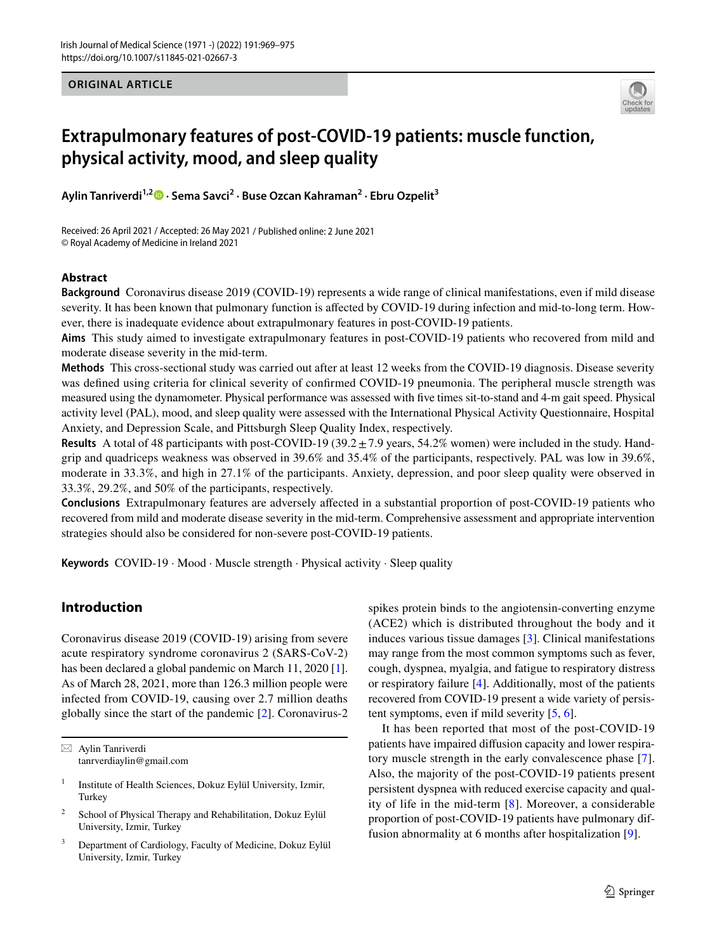#### **ORIGINAL ARTICLE**



# **Extrapulmonary features of post‑COVID‑19 patients: muscle function, physical activity, mood, and sleep quality**

**Aylin Tanriverdi1,2 · Sema Savci<sup>2</sup> · Buse Ozcan Kahraman<sup>2</sup> · Ebru Ozpelit3**

Received: 26 April 2021 / Accepted: 26 May 2021 / Published online: 2 June 2021 © Royal Academy of Medicine in Ireland 2021

### **Abstract**

**Background** Coronavirus disease 2019 (COVID-19) represents a wide range of clinical manifestations, even if mild disease severity. It has been known that pulmonary function is afected by COVID-19 during infection and mid-to-long term. However, there is inadequate evidence about extrapulmonary features in post-COVID-19 patients.

**Aims** This study aimed to investigate extrapulmonary features in post-COVID-19 patients who recovered from mild and moderate disease severity in the mid-term.

**Methods** This cross-sectional study was carried out after at least 12 weeks from the COVID-19 diagnosis. Disease severity was defned using criteria for clinical severity of confrmed COVID-19 pneumonia. The peripheral muscle strength was measured using the dynamometer. Physical performance was assessed with fve times sit-to-stand and 4-m gait speed. Physical activity level (PAL), mood, and sleep quality were assessed with the International Physical Activity Questionnaire, Hospital Anxiety, and Depression Scale, and Pittsburgh Sleep Quality Index, respectively.

**Results** A total of 48 participants with post-COVID-19 (39.2 $\pm$ 7.9 years, 54.2% women) were included in the study. Handgrip and quadriceps weakness was observed in 39.6% and 35.4% of the participants, respectively. PAL was low in 39.6%, moderate in 33.3%, and high in 27.1% of the participants. Anxiety, depression, and poor sleep quality were observed in 33.3%, 29.2%, and 50% of the participants, respectively.

**Conclusions** Extrapulmonary features are adversely afected in a substantial proportion of post-COVID-19 patients who recovered from mild and moderate disease severity in the mid-term. Comprehensive assessment and appropriate intervention strategies should also be considered for non-severe post-COVID-19 patients.

**Keywords** COVID-19 · Mood · Muscle strength · Physical activity · Sleep quality

# **Introduction**

Coronavirus disease 2019 (COVID-19) arising from severe acute respiratory syndrome coronavirus 2 (SARS-CoV-2) has been declared a global pandemic on March 11, 2020 [\[1](#page-5-0)]. As of March 28, 2021, more than 126.3 million people were infected from COVID-19, causing over 2.7 million deaths globally since the start of the pandemic [\[2](#page-5-1)]. Coronavirus-2 spikes protein binds to the angiotensin-converting enzyme (ACE2) which is distributed throughout the body and it induces various tissue damages [[3\]](#page-5-2). Clinical manifestations may range from the most common symptoms such as fever, cough, dyspnea, myalgia, and fatigue to respiratory distress or respiratory failure [[4\]](#page-5-3). Additionally, most of the patients recovered from COVID-19 present a wide variety of persistent symptoms, even if mild severity [[5,](#page-5-4) [6\]](#page-5-5).

It has been reported that most of the post-COVID-19 patients have impaired difusion capacity and lower respiratory muscle strength in the early convalescence phase [[7](#page-5-6)]. Also, the majority of the post-COVID-19 patients present persistent dyspnea with reduced exercise capacity and quality of life in the mid-term [[8](#page-5-7)]. Moreover, a considerable proportion of post-COVID-19 patients have pulmonary diffusion abnormality at 6 months after hospitalization [\[9\]](#page-5-8).

 $\boxtimes$  Aylin Tanriverdi tanrverdiaylin@gmail.com

<sup>&</sup>lt;sup>1</sup> Institute of Health Sciences, Dokuz Eylül University, Izmir, Turkey

<sup>&</sup>lt;sup>2</sup> School of Physical Therapy and Rehabilitation, Dokuz Eylül University, Izmir, Turkey

<sup>3</sup> Department of Cardiology, Faculty of Medicine, Dokuz Eylül University, Izmir, Turkey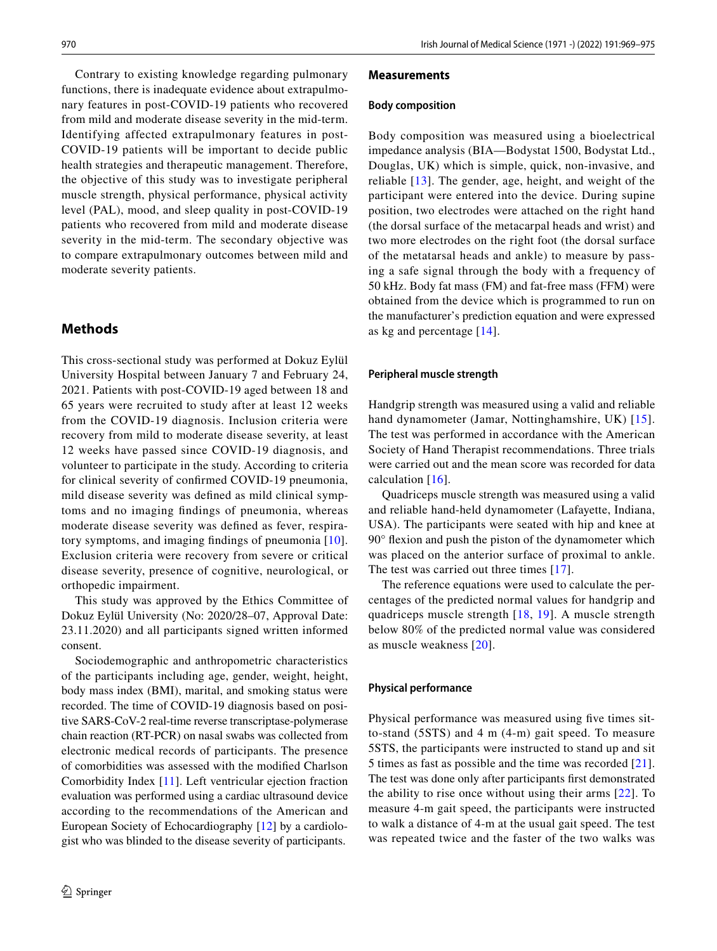Contrary to existing knowledge regarding pulmonary functions, there is inadequate evidence about extrapulmonary features in post-COVID-19 patients who recovered from mild and moderate disease severity in the mid-term. Identifying affected extrapulmonary features in post-COVID-19 patients will be important to decide public health strategies and therapeutic management. Therefore, the objective of this study was to investigate peripheral muscle strength, physical performance, physical activity level (PAL), mood, and sleep quality in post-COVID-19 patients who recovered from mild and moderate disease severity in the mid-term. The secondary objective was to compare extrapulmonary outcomes between mild and moderate severity patients.

## **Methods**

This cross-sectional study was performed at Dokuz Eylül University Hospital between January 7 and February 24, 2021. Patients with post-COVID-19 aged between 18 and 65 years were recruited to study after at least 12 weeks from the COVID-19 diagnosis. Inclusion criteria were recovery from mild to moderate disease severity, at least 12 weeks have passed since COVID-19 diagnosis, and volunteer to participate in the study. According to criteria for clinical severity of confrmed COVID-19 pneumonia, mild disease severity was defned as mild clinical symptoms and no imaging fndings of pneumonia, whereas moderate disease severity was defned as fever, respiratory symptoms, and imaging fndings of pneumonia [[10](#page-5-9)]. Exclusion criteria were recovery from severe or critical disease severity, presence of cognitive, neurological, or orthopedic impairment.

This study was approved by the Ethics Committee of Dokuz Eylül University (No: 2020/28–07, Approval Date: 23.11.2020) and all participants signed written informed consent.

Sociodemographic and anthropometric characteristics of the participants including age, gender, weight, height, body mass index (BMI), marital, and smoking status were recorded. The time of COVID-19 diagnosis based on positive SARS-CoV-2 real-time reverse transcriptase-polymerase chain reaction (RT-PCR) on nasal swabs was collected from electronic medical records of participants. The presence of comorbidities was assessed with the modifed Charlson Comorbidity Index [[11\]](#page-5-10). Left ventricular ejection fraction evaluation was performed using a cardiac ultrasound device according to the recommendations of the American and European Society of Echocardiography [[12\]](#page-5-11) by a cardiologist who was blinded to the disease severity of participants.

#### **Measurements**

#### **Body composition**

Body composition was measured using a bioelectrical impedance analysis (BIA—Bodystat 1500, Bodystat Ltd., Douglas, UK) which is simple, quick, non-invasive, and reliable [[13](#page-5-12)]. The gender, age, height, and weight of the participant were entered into the device. During supine position, two electrodes were attached on the right hand (the dorsal surface of the metacarpal heads and wrist) and two more electrodes on the right foot (the dorsal surface of the metatarsal heads and ankle) to measure by passing a safe signal through the body with a frequency of 50 kHz. Body fat mass (FM) and fat-free mass (FFM) were obtained from the device which is programmed to run on the manufacturer's prediction equation and were expressed as kg and percentage [[14](#page-5-13)].

#### **Peripheral muscle strength**

Handgrip strength was measured using a valid and reliable hand dynamometer (Jamar, Nottinghamshire, UK) [[15](#page-5-14)]. The test was performed in accordance with the American Society of Hand Therapist recommendations. Three trials were carried out and the mean score was recorded for data calculation [\[16\]](#page-5-15).

Quadriceps muscle strength was measured using a valid and reliable hand-held dynamometer (Lafayette, Indiana, USA). The participants were seated with hip and knee at 90° fexion and push the piston of the dynamometer which was placed on the anterior surface of proximal to ankle. The test was carried out three times [[17](#page-5-16)].

The reference equations were used to calculate the percentages of the predicted normal values for handgrip and quadriceps muscle strength [[18](#page-6-0), [19\]](#page-6-1). A muscle strength below 80% of the predicted normal value was considered as muscle weakness [\[20\]](#page-6-2).

#### **Physical performance**

Physical performance was measured using five times sitto-stand (5STS) and 4 m (4-m) gait speed. To measure 5STS, the participants were instructed to stand up and sit 5 times as fast as possible and the time was recorded [[21](#page-6-3)]. The test was done only after participants frst demonstrated the ability to rise once without using their arms [[22](#page-6-4)]. To measure 4-m gait speed, the participants were instructed to walk a distance of 4-m at the usual gait speed. The test was repeated twice and the faster of the two walks was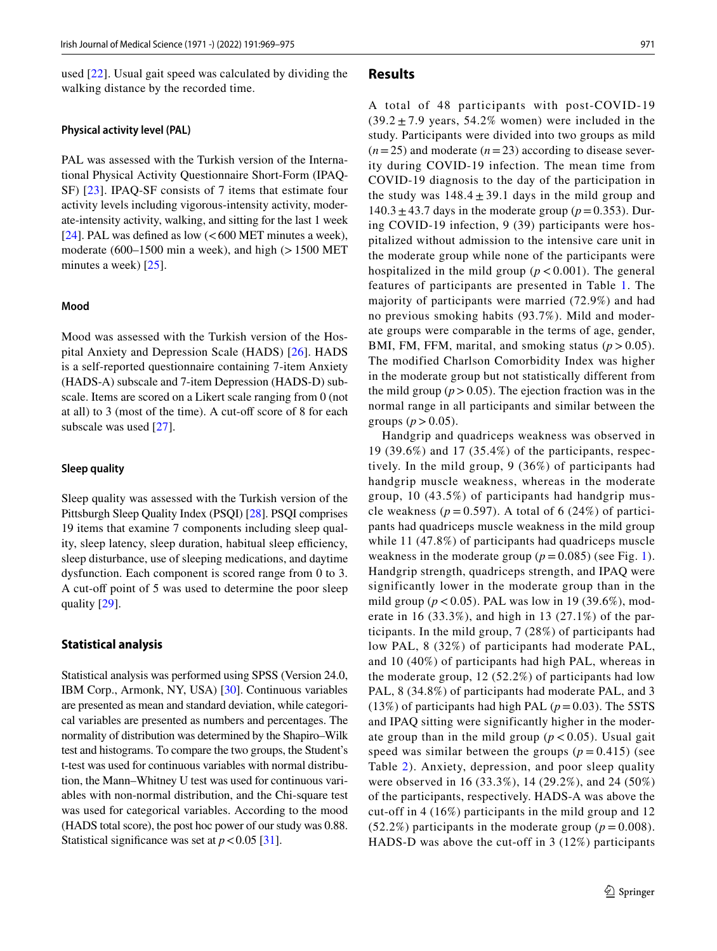used [[22](#page-6-4)]. Usual gait speed was calculated by dividing the walking distance by the recorded time.

#### **Physical activity level (PAL)**

PAL was assessed with the Turkish version of the International Physical Activity Questionnaire Short-Form (IPAQ-SF) [[23\]](#page-6-5). IPAQ-SF consists of 7 items that estimate four activity levels including vigorous-intensity activity, moderate-intensity activity, walking, and sitting for the last 1 week [\[24](#page-6-6)]. PAL was defined as low  $(<$  600 MET minutes a week), moderate (600–1500 min a week), and high  $(>1500$  MET minutes a week) [[25\]](#page-6-7).

#### **Mood**

Mood was assessed with the Turkish version of the Hospital Anxiety and Depression Scale (HADS) [\[26](#page-6-8)]. HADS is a self-reported questionnaire containing 7-item Anxiety (HADS-A) subscale and 7-item Depression (HADS-D) subscale. Items are scored on a Likert scale ranging from 0 (not at all) to 3 (most of the time). A cut-off score of 8 for each subscale was used [[27](#page-6-9)].

#### **Sleep quality**

Sleep quality was assessed with the Turkish version of the Pittsburgh Sleep Quality Index (PSQI) [\[28](#page-6-10)]. PSQI comprises 19 items that examine 7 components including sleep quality, sleep latency, sleep duration, habitual sleep efficiency, sleep disturbance, use of sleeping medications, and daytime dysfunction. Each component is scored range from 0 to 3. A cut-off point of 5 was used to determine the poor sleep quality [[29\]](#page-6-11).

#### **Statistical analysis**

Statistical analysis was performed using SPSS (Version 24.0, IBM Corp., Armonk, NY, USA) [\[30](#page-6-12)]. Continuous variables are presented as mean and standard deviation, while categorical variables are presented as numbers and percentages. The normality of distribution was determined by the Shapiro–Wilk test and histograms. To compare the two groups, the Student's t-test was used for continuous variables with normal distribution, the Mann–Whitney U test was used for continuous variables with non-normal distribution, and the Chi-square test was used for categorical variables. According to the mood (HADS total score), the post hoc power of our study was 0.88. Statistical significance was set at  $p < 0.05$  [[31\]](#page-6-13).

#### **Results**

A total of 48 participants with post-COVID-19  $(39.2 \pm 7.9 \text{ years}, 54.2\% \text{ women})$  were included in the study. Participants were divided into two groups as mild  $(n=25)$  and moderate  $(n=23)$  according to disease severity during COVID-19 infection. The mean time from COVID-19 diagnosis to the day of the participation in the study was  $148.4 \pm 39.1$  days in the mild group and  $140.3 \pm 43.7$  days in the moderate group ( $p = 0.353$ ). During COVID-19 infection, 9 (39) participants were hospitalized without admission to the intensive care unit in the moderate group while none of the participants were hospitalized in the mild group  $(p < 0.001)$ . The general features of participants are presented in Table [1](#page-3-0). The majority of participants were married (72.9%) and had no previous smoking habits (93.7%). Mild and moderate groups were comparable in the terms of age, gender, BMI, FM, FFM, marital, and smoking status  $(p > 0.05)$ . The modified Charlson Comorbidity Index was higher in the moderate group but not statistically different from the mild group  $(p > 0.05)$ . The ejection fraction was in the normal range in all participants and similar between the groups ( $p > 0.05$ ).

Handgrip and quadriceps weakness was observed in 19 (39.6%) and 17 (35.4%) of the participants, respectively. In the mild group, 9 (36%) of participants had handgrip muscle weakness, whereas in the moderate group, 10 (43.5%) of participants had handgrip muscle weakness ( $p = 0.597$ ). A total of 6 (24%) of participants had quadriceps muscle weakness in the mild group while 11 (47.8%) of participants had quadriceps muscle weakness in the moderate group  $(p = 0.085)$  (see Fig. [1](#page-3-1)). Handgrip strength, quadriceps strength, and IPAQ were significantly lower in the moderate group than in the mild group ( $p < 0.05$ ). PAL was low in 19 (39.6%), moderate in 16 (33.3%), and high in 13 (27.1%) of the participants. In the mild group, 7 (28%) of participants had low PAL, 8 (32%) of participants had moderate PAL, and 10 (40%) of participants had high PAL, whereas in the moderate group, 12 (52.2%) of participants had low PAL, 8 (34.8%) of participants had moderate PAL, and 3 (13%) of participants had high PAL  $(p=0.03)$ . The 5STS and IPAQ sitting were significantly higher in the moderate group than in the mild group  $(p < 0.05)$ . Usual gait speed was similar between the groups  $(p = 0.415)$  (see Table [2\)](#page-4-0). Anxiety, depression, and poor sleep quality were observed in 16 (33.3%), 14 (29.2%), and 24 (50%) of the participants, respectively. HADS-A was above the cut-off in 4 (16%) participants in the mild group and 12  $(52.2\%)$  participants in the moderate group ( $p = 0.008$ ). HADS-D was above the cut-off in 3 (12%) participants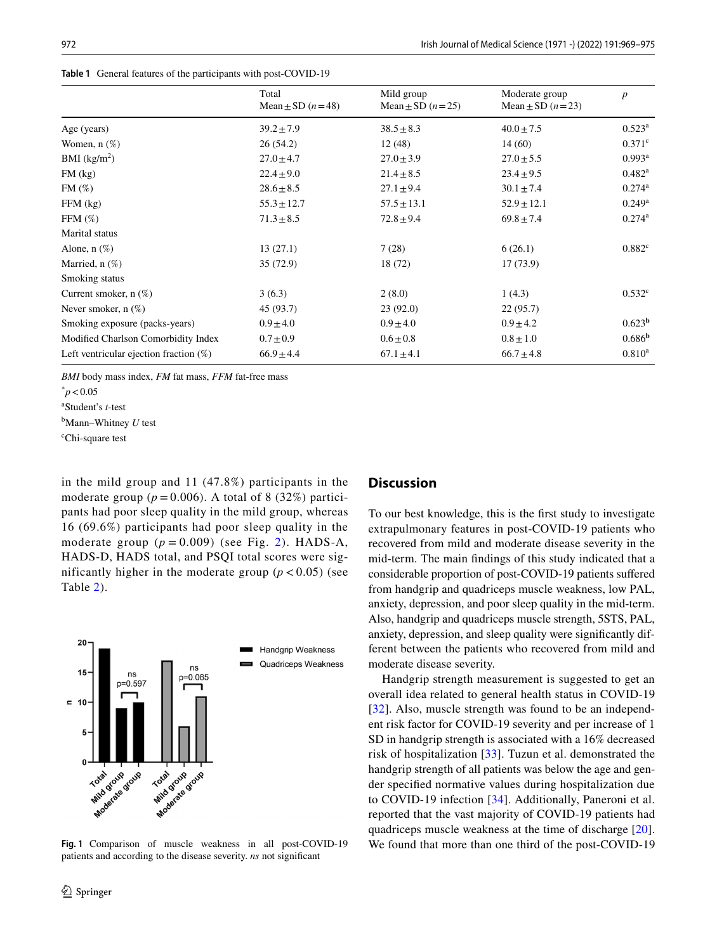|                                           | Total<br>Mean $\pm$ SD $(n=48)$ | Mild group<br>Mean $\pm$ SD $(n=25)$ | Moderate group<br>Mean $\pm$ SD $(n=23)$ | $\boldsymbol{p}$     |
|-------------------------------------------|---------------------------------|--------------------------------------|------------------------------------------|----------------------|
|                                           |                                 |                                      |                                          |                      |
| Age (years)                               | $39.2 \pm 7.9$                  | $38.5 \pm 8.3$                       | $40.0 \pm 7.5$                           | $0.523^{\rm a}$      |
| Women, $n$ $(\%)$                         | 26(54.2)                        | 12(48)                               | 14(60)                                   | $0.371^{\circ}$      |
| BMI (kg/m <sup>2</sup> )                  | $27.0 \pm 4.7$                  | $27.0 \pm 3.9$                       | $27.0 \pm 5.5$                           | $0.993^{\rm a}$      |
| $FM$ (kg)                                 | $22.4 \pm 9.0$                  | $21.4 \pm 8.5$                       | $23.4 \pm 9.5$                           | $0.482^{\rm a}$      |
| FM(%)                                     | $28.6 \pm 8.5$                  | $27.1 \pm 9.4$                       | $30.1 \pm 7.4$                           | $0.274^{\rm a}$      |
| $FFM$ (kg)                                | $55.3 \pm 12.7$                 | $57.5 \pm 13.1$                      | $52.9 \pm 12.1$                          | $0.249$ <sup>a</sup> |
| FFM $(\%)$                                | $71.3 \pm 8.5$                  | $72.8 \pm 9.4$                       | $69.8 \pm 7.4$                           | $0.274^{\rm a}$      |
| Marital status                            |                                 |                                      |                                          |                      |
| Alone, $n$ $(\%)$                         | 13(27.1)                        | 7(28)                                | 6(26.1)                                  | 0.882 <sup>c</sup>   |
| Married, $n$ (%)                          | 35 (72.9)                       | 18 (72)                              | 17(73.9)                                 |                      |
| Smoking status                            |                                 |                                      |                                          |                      |
| Current smoker, $n$ (%)                   | 3(6.3)                          | 2(8.0)                               | 1(4.3)                                   | $0.532^{\circ}$      |
| Never smoker, $n$ $(\%)$                  | 45 (93.7)                       | 23(92.0)                             | 22(95.7)                                 |                      |
| Smoking exposure (packs-years)            | $0.9 \pm 4.0$                   | $0.9 \pm 4.0$                        | $0.9 \pm 4.2$                            | 0.623 <sup>b</sup>   |
| Modified Charlson Comorbidity Index       | $0.7 \pm 0.9$                   | $0.6 \pm 0.8$                        | $0.8 \pm 1.0$                            | 0.686 <sup>b</sup>   |
| Left ventricular ejection fraction $(\%)$ | $66.9 \pm 4.4$                  | $67.1 \pm 4.1$                       | $66.7 \pm 4.8$                           | $0.810^{\rm a}$      |

<span id="page-3-0"></span>**Table 1** General features of the participants with post-COVID-19

*BMI* body mass index, *FM* fat mass, *FFM* fat-free mass

a Student's *t*-test

b Mann–Whitney *U* test

c Chi-square test

in the mild group and 11 (47.8%) participants in the moderate group ( $p = 0.006$ ). A total of 8 (32%) participants had poor sleep quality in the mild group, whereas 16 (69.6%) participants had poor sleep quality in the moderate group  $(p = 0.009)$  (see Fig. [2](#page-4-1)). HADS-A, HADS-D, HADS total, and PSQI total scores were significantly higher in the moderate group  $(p < 0.05)$  (see Table [2](#page-4-0)).



<span id="page-3-1"></span>**Fig. 1** Comparison of muscle weakness in all post-COVID-19 patients and according to the disease severity. *ns* not signifcant

#### **Discussion**

To our best knowledge, this is the frst study to investigate extrapulmonary features in post-COVID-19 patients who recovered from mild and moderate disease severity in the mid-term. The main fndings of this study indicated that a considerable proportion of post-COVID-19 patients sufered from handgrip and quadriceps muscle weakness, low PAL, anxiety, depression, and poor sleep quality in the mid-term. Also, handgrip and quadriceps muscle strength, 5STS, PAL, anxiety, depression, and sleep quality were signifcantly different between the patients who recovered from mild and moderate disease severity.

Handgrip strength measurement is suggested to get an overall idea related to general health status in COVID-19 [[32\]](#page-6-14). Also, muscle strength was found to be an independent risk factor for COVID-19 severity and per increase of 1 SD in handgrip strength is associated with a 16% decreased risk of hospitalization [[33](#page-6-15)]. Tuzun et al. demonstrated the handgrip strength of all patients was below the age and gender specifed normative values during hospitalization due to COVID-19 infection [\[34\]](#page-6-16). Additionally, Paneroni et al. reported that the vast majority of COVID-19 patients had quadriceps muscle weakness at the time of discharge [\[20](#page-6-2)]. We found that more than one third of the post-COVID-19

 $\degree p < 0.05$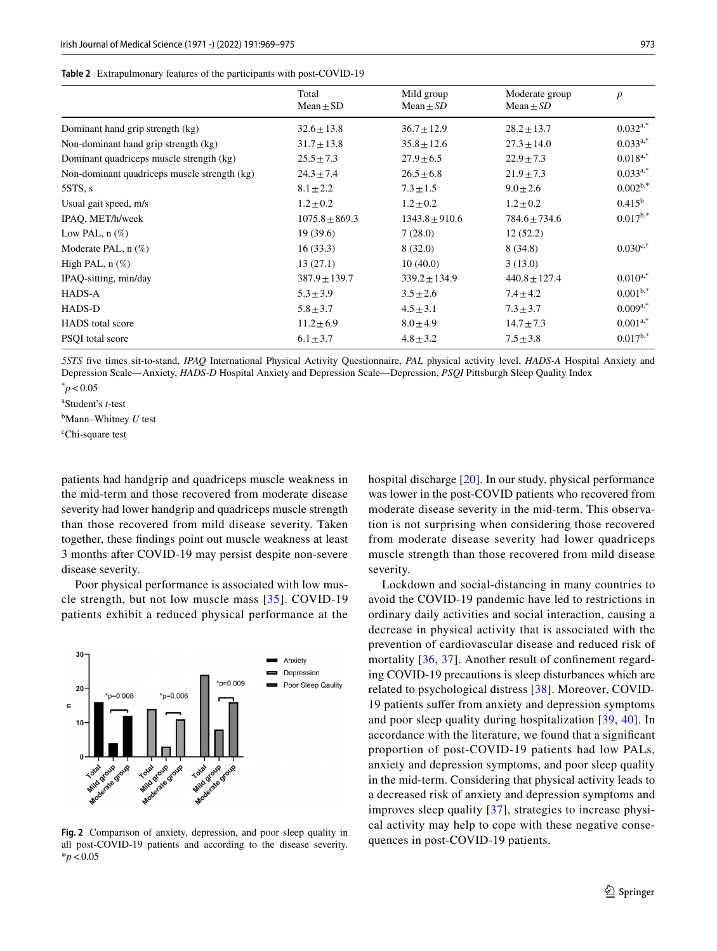<span id="page-4-0"></span>

|  | Table 2 Extrapulmonary features of the participants with post-COVID-19 |  |  |  |  |
|--|------------------------------------------------------------------------|--|--|--|--|
|--|------------------------------------------------------------------------|--|--|--|--|

|                                              | Total<br>$Mean \pm SD$ | Mild group<br>Mean $\pm SD$ | Moderate group<br>Mean $\pm SD$ | $\boldsymbol{p}$ |
|----------------------------------------------|------------------------|-----------------------------|---------------------------------|------------------|
| Dominant hand grip strength (kg)             | $32.6 \pm 13.8$        | $36.7 \pm 12.9$             | $28.2 \pm 13.7$                 | $0.032^{a,*}$    |
| Non-dominant hand grip strength (kg)         | $31.7 \pm 13.8$        | $35.8 \pm 12.6$             | $27.3 \pm 14.0$                 | $0.033^{a,*}$    |
| Dominant quadriceps muscle strength (kg)     | $25.5 \pm 7.3$         | $27.9 \pm 6.5$              | $22.9 \pm 7.3$                  | $0.018^{a,*}$    |
| Non-dominant quadriceps muscle strength (kg) | $24.3 \pm 7.4$         | $26.5 \pm 6.8$              | $21.9 \pm 7.3$                  | $0.033^{a,*}$    |
| 5STS, s                                      | $8.1 \pm 2.2$          | $7.3 \pm 1.5$               | $9.0 \pm 2.6$                   | $0.002^{b,*}$    |
| Usual gait speed, m/s                        | $1.2 \pm 0.2$          | $1.2 \pm 0.2$               | $1.2 \pm 0.2$                   | $0.415^{\rm b}$  |
| IPAO, MET/h/week                             | $1075.8 \pm 869.3$     | $1343.8 \pm 910.6$          | $784.6 \pm 734.6$               | $0.017^{b,*}$    |
| Low PAL, $n$ $(\%)$                          | 19(39.6)               | 7(28.0)                     | 12(52.2)                        |                  |
| Moderate PAL, $n$ $(\%)$                     | 16(33.3)               | 8(32.0)                     | 8(34.8)                         | $0.030^{c,*}$    |
| High PAL, $n$ $(\%)$                         | 13(27.1)               | 10(40.0)                    | 3(13.0)                         |                  |
| IPAQ-sitting, min/day                        | $387.9 \pm 139.7$      | $339.2 \pm 134.9$           | $440.8 \pm 127.4$               | $0.010^{a,*}$    |
| HADS-A                                       | $5.3 \pm 3.9$          | $3.5 \pm 2.6$               | $7.4 \pm 4.2$                   | $0.001^{b,*}$    |
| HADS-D                                       | $5.8 \pm 3.7$          | $4.5 \pm 3.1$               | $7.3 \pm 3.7$                   | $0.009^{a,*}$    |
| <b>HADS</b> total score                      | $11.2 \pm 6.9$         | $8.0 \pm 4.9$               | $14.7 \pm 7.3$                  | $0.001^{a,*}$    |
| PSOI total score                             | $6.1 \pm 3.7$          | $4.8 \pm 3.2$               | $7.5 \pm 3.8$                   | $0.017^{b,*}$    |

*5STS* fve times sit-to-stand, *IPAQ* International Physical Activity Questionnaire, *PAL* physical activity level, *HADS-A* Hospital Anxiety and Depression Scale—Anxiety, *HADS-D* Hospital Anxiety and Depression Scale—Depression, *PSQI* Pittsburgh Sleep Quality Index

 $\degree p < 0.05$ 

a Student's *t*-test

b Mann–Whitney *U* test

c Chi-square test

patients had handgrip and quadriceps muscle weakness in the mid-term and those recovered from moderate disease severity had lower handgrip and quadriceps muscle strength than those recovered from mild disease severity. Taken together, these fndings point out muscle weakness at least 3 months after COVID-19 may persist despite non-severe disease severity.

Poor physical performance is associated with low muscle strength, but not low muscle mass [[35\]](#page-6-17). COVID-19 patients exhibit a reduced physical performance at the



<span id="page-4-1"></span>**Fig. 2** Comparison of anxiety, depression, and poor sleep quality in all post-COVID-19 patients and according to the disease severity. \**p*<0.05

hospital discharge [\[20](#page-6-2)]. In our study, physical performance was lower in the post-COVID patients who recovered from moderate disease severity in the mid-term. This observation is not surprising when considering those recovered from moderate disease severity had lower quadriceps muscle strength than those recovered from mild disease severity.

Lockdown and social-distancing in many countries to avoid the COVID-19 pandemic have led to restrictions in ordinary daily activities and social interaction, causing a decrease in physical activity that is associated with the prevention of cardiovascular disease and reduced risk of mortality [[36](#page-6-18), [37](#page-6-19)]. Another result of confinement regarding COVID-19 precautions is sleep disturbances which are related to psychological distress [[38\]](#page-6-20). Moreover, COVID-19 patients sufer from anxiety and depression symptoms and poor sleep quality during hospitalization [\[39,](#page-6-21) [40\]](#page-6-22). In accordance with the literature, we found that a signifcant proportion of post-COVID-19 patients had low PALs, anxiety and depression symptoms, and poor sleep quality in the mid-term. Considering that physical activity leads to a decreased risk of anxiety and depression symptoms and improves sleep quality [[37](#page-6-19)], strategies to increase physical activity may help to cope with these negative consequences in post-COVID-19 patients.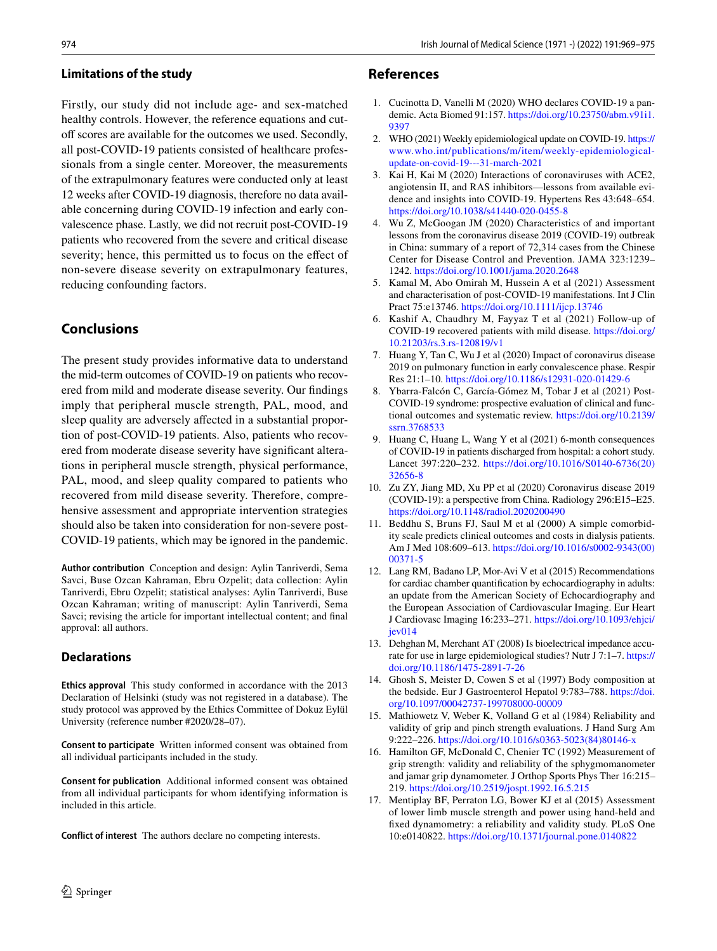Firstly, our study did not include age- and sex-matched healthy controls. However, the reference equations and cutoff scores are available for the outcomes we used. Secondly, all post-COVID-19 patients consisted of healthcare professionals from a single center. Moreover, the measurements of the extrapulmonary features were conducted only at least 12 weeks after COVID-19 diagnosis, therefore no data available concerning during COVID-19 infection and early convalescence phase. Lastly, we did not recruit post-COVID-19 patients who recovered from the severe and critical disease severity; hence, this permitted us to focus on the effect of non-severe disease severity on extrapulmonary features, reducing confounding factors.

# **Conclusions**

The present study provides informative data to understand the mid-term outcomes of COVID-19 on patients who recovered from mild and moderate disease severity. Our fndings imply that peripheral muscle strength, PAL, mood, and sleep quality are adversely affected in a substantial proportion of post-COVID-19 patients. Also, patients who recovered from moderate disease severity have signifcant alterations in peripheral muscle strength, physical performance, PAL, mood, and sleep quality compared to patients who recovered from mild disease severity. Therefore, comprehensive assessment and appropriate intervention strategies should also be taken into consideration for non-severe post-COVID-19 patients, which may be ignored in the pandemic.

**Author contribution** Conception and design: Aylin Tanriverdi, Sema Savci, Buse Ozcan Kahraman, Ebru Ozpelit; data collection: Aylin Tanriverdi, Ebru Ozpelit; statistical analyses: Aylin Tanriverdi, Buse Ozcan Kahraman; writing of manuscript: Aylin Tanriverdi, Sema Savci; revising the article for important intellectual content; and fnal approval: all authors.

# **Declarations**

**Ethics approval** This study conformed in accordance with the 2013 Declaration of Helsinki (study was not registered in a database). The study protocol was approved by the Ethics Committee of Dokuz Eylül University (reference number #2020/28–07).

**Consent to participate** Written informed consent was obtained from all individual participants included in the study.

**Consent for publication** Additional informed consent was obtained from all individual participants for whom identifying information is included in this article.

**Conflict of interest** The authors declare no competing interests.

# **References**

- <span id="page-5-0"></span>1. Cucinotta D, Vanelli M (2020) WHO declares COVID-19 a pandemic. Acta Biomed 91:157. [https://doi.org/10.23750/abm.v91i1.](https://doi.org/10.23750/abm.v91i1.9397) [9397](https://doi.org/10.23750/abm.v91i1.9397)
- <span id="page-5-1"></span>2. WHO (2021) Weekly epidemiological update on COVID-19. [https://](https://www.who.int/publications/m/item/weekly-epidemiological-update-on-covid-19---31-march-2021) [www.who.int/publications/m/item/weekly-epidemiological](https://www.who.int/publications/m/item/weekly-epidemiological-update-on-covid-19---31-march-2021)[update-on-covid-19---31-march-2021](https://www.who.int/publications/m/item/weekly-epidemiological-update-on-covid-19---31-march-2021)
- <span id="page-5-2"></span>3. Kai H, Kai M (2020) Interactions of coronaviruses with ACE2, angiotensin II, and RAS inhibitors—lessons from available evidence and insights into COVID-19. Hypertens Res 43:648–654. <https://doi.org/10.1038/s41440-020-0455-8>
- <span id="page-5-3"></span>4. Wu Z, McGoogan JM (2020) Characteristics of and important lessons from the coronavirus disease 2019 (COVID-19) outbreak in China: summary of a report of 72,314 cases from the Chinese Center for Disease Control and Prevention. JAMA 323:1239– 1242. <https://doi.org/10.1001/jama.2020.2648>
- <span id="page-5-4"></span>5. Kamal M, Abo Omirah M, Hussein A et al (2021) Assessment and characterisation of post-COVID-19 manifestations. Int J Clin Pract 75:e13746.<https://doi.org/10.1111/ijcp.13746>
- <span id="page-5-5"></span>6. Kashif A, Chaudhry M, Fayyaz T et al (2021) Follow-up of COVID-19 recovered patients with mild disease. [https://doi.org/](https://doi.org/10.21203/rs.3.rs-120819/v1) [10.21203/rs.3.rs-120819/v1](https://doi.org/10.21203/rs.3.rs-120819/v1)
- <span id="page-5-6"></span>7. Huang Y, Tan C, Wu J et al (2020) Impact of coronavirus disease 2019 on pulmonary function in early convalescence phase. Respir Res 21:1–10.<https://doi.org/10.1186/s12931-020-01429-6>
- <span id="page-5-7"></span>8. Ybarra-Falcón C, García-Gómez M, Tobar J et al (2021) Post-COVID-19 syndrome: prospective evaluation of clinical and functional outcomes and systematic review. [https://doi.org/10.2139/](https://doi.org/10.2139/ssrn.3768533) [ssrn.3768533](https://doi.org/10.2139/ssrn.3768533)
- <span id="page-5-8"></span>9. Huang C, Huang L, Wang Y et al (2021) 6-month consequences of COVID-19 in patients discharged from hospital: a cohort study. Lancet 397:220–232. [https://doi.org/10.1016/S0140-6736\(20\)](https://doi.org/10.1016/S0140-6736(20)32656-8) [32656-8](https://doi.org/10.1016/S0140-6736(20)32656-8)
- <span id="page-5-9"></span>10. Zu ZY, Jiang MD, Xu PP et al (2020) Coronavirus disease 2019 (COVID-19): a perspective from China. Radiology 296:E15–E25. <https://doi.org/10.1148/radiol.2020200490>
- <span id="page-5-10"></span>11. Beddhu S, Bruns FJ, Saul M et al (2000) A simple comorbidity scale predicts clinical outcomes and costs in dialysis patients. Am J Med 108:609–613. [https://doi.org/10.1016/s0002-9343\(00\)](https://doi.org/10.1016/s0002-9343(00)00371-5) [00371-5](https://doi.org/10.1016/s0002-9343(00)00371-5)
- <span id="page-5-11"></span>12. Lang RM, Badano LP, Mor-Avi V et al (2015) Recommendations for cardiac chamber quantifcation by echocardiography in adults: an update from the American Society of Echocardiography and the European Association of Cardiovascular Imaging. Eur Heart J Cardiovasc Imaging 16:233–271. [https://doi.org/10.1093/ehjci/](https://doi.org/10.1093/ehjci/jev014) [jev014](https://doi.org/10.1093/ehjci/jev014)
- <span id="page-5-12"></span>13. Dehghan M, Merchant AT (2008) Is bioelectrical impedance accurate for use in large epidemiological studies? Nutr J 7:1–7. [https://](https://doi.org/10.1186/1475-2891-7-26) [doi.org/10.1186/1475-2891-7-26](https://doi.org/10.1186/1475-2891-7-26)
- <span id="page-5-13"></span>14. Ghosh S, Meister D, Cowen S et al (1997) Body composition at the bedside. Eur J Gastroenterol Hepatol 9:783–788. [https://doi.](https://doi.org/10.1097/00042737-199708000-00009) [org/10.1097/00042737-199708000-00009](https://doi.org/10.1097/00042737-199708000-00009)
- <span id="page-5-14"></span>15. Mathiowetz V, Weber K, Volland G et al (1984) Reliability and validity of grip and pinch strength evaluations. J Hand Surg Am 9:222–226. [https://doi.org/10.1016/s0363-5023\(84\)80146-x](https://doi.org/10.1016/s0363-5023(84)80146-x)
- <span id="page-5-15"></span>16. Hamilton GF, McDonald C, Chenier TC (1992) Measurement of grip strength: validity and reliability of the sphygmomanometer and jamar grip dynamometer. J Orthop Sports Phys Ther 16:215– 219.<https://doi.org/10.2519/jospt.1992.16.5.215>
- <span id="page-5-16"></span>17. Mentiplay BF, Perraton LG, Bower KJ et al (2015) Assessment of lower limb muscle strength and power using hand-held and fxed dynamometry: a reliability and validity study. PLoS One 10:e0140822.<https://doi.org/10.1371/journal.pone.0140822>